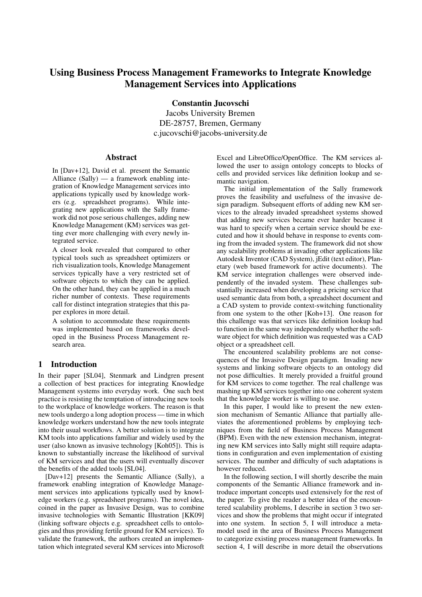# Using Business Process Management Frameworks to Integrate Knowledge Management Services into Applications

Constantin Jucovschi

Jacobs University Bremen DE-28757, Bremen, Germany c.jucovschi@jacobs-university.de

#### Abstract

In [Dav+12], David et al. present the Semantic Alliance (Sally) — a framework enabling integration of Knowledge Management services into applications typically used by knowledge workers (e.g. spreadsheet programs). While integrating new applications with the Sally framework did not pose serious challenges, adding new Knowledge Management (KM) services was getting ever more challenging with every newly integrated service.

A closer look revealed that compared to other typical tools such as spreadsheet optimizers or rich visualization tools, Knowledge Management services typically have a very restricted set of software objects to which they can be applied. On the other hand, they can be applied in a much richer number of contexts. These requirements call for distinct integration strategies that this paper explores in more detail.

A solution to accommodate these requirements was implemented based on frameworks developed in the Business Process Management research area.

### 1 Introduction

In their paper [SL04], Stenmark and Lindgren present a collection of best practices for integrating Knowledge Management systems into everyday work. One such best practice is resisting the temptation of introducing new tools to the workplace of knowledge workers. The reason is that new tools undergo a long adoption process — time in which knowledge workers understand how the new tools integrate into their usual workflows. A better solution is to integrate KM tools into applications familiar and widely used by the user (also known as invasive technology [Koh05]). This is known to substantially increase the likelihood of survival of KM services and that the users will eventually discover the benefits of the added tools [SL04].

[Dav+12] presents the Semantic Alliance (Sally), a framework enabling integration of Knowledge Management services into applications typically used by knowledge workers (e.g. spreadsheet programs). The novel idea, coined in the paper as Invasive Design, was to combine invasive technologies with Semantic Illustration [KK09] (linking software objects e.g. spreadsheet cells to ontologies and thus providing fertile ground for KM services). To validate the framework, the authors created an implementation which integrated several KM services into Microsoft Excel and LibreOffice/OpenOffice. The KM services allowed the user to assign ontology concepts to blocks of cells and provided services like definition lookup and semantic navigation.

The initial implementation of the Sally framework proves the feasibility and usefulness of the invasive design paradigm. Subsequent efforts of adding new KM services to the already invaded spreadsheet systems showed that adding new services became ever harder because it was hard to specify when a certain service should be executed and how it should behave in response to events coming from the invaded system. The framework did not show any scalability problems at invading other applications like Autodesk Inventor (CAD System), jEdit (text editor), Planetary (web based framework for active documents). The KM service integration challenges were observed independently of the invaded system. These challenges substantially increased when developing a pricing service that used semantic data from both, a spreadsheet document and a CAD system to provide context-switching functionality from one system to the other [Koh+13]. One reason for this challenge was that services like definition lookup had to function in the same way independently whether the software object for which definition was requested was a CAD object or a spreadsheet cell.

The encountered scalability problems are not consequences of the Invasive Design paradigm. Invading new systems and linking software objects to an ontology did not pose difficulties. It merely provided a fruitful ground for KM services to come together. The real challenge was mashing up KM services together into one coherent system that the knowledge worker is willing to use.

In this paper, I would like to present the new extension mechanism of Semantic Alliance that partially alleviates the aforementioned problems by employing techniques from the field of Business Process Management (BPM). Even with the new extension mechanism, integrating new KM services into Sally might still require adaptations in configuration and even implementation of existing services. The number and difficulty of such adaptations is however reduced.

In the following section, I will shortly describe the main components of the Semantic Alliance framework and introduce important concepts used extensively for the rest of the paper. To give the reader a better idea of the encountered scalability problems, I describe in section 3 two services and show the problems that might occur if integrated into one system. In section 5, I will introduce a metamodel used in the area of Business Process Management to categorize existing process management frameworks. In section 4, I will describe in more detail the observations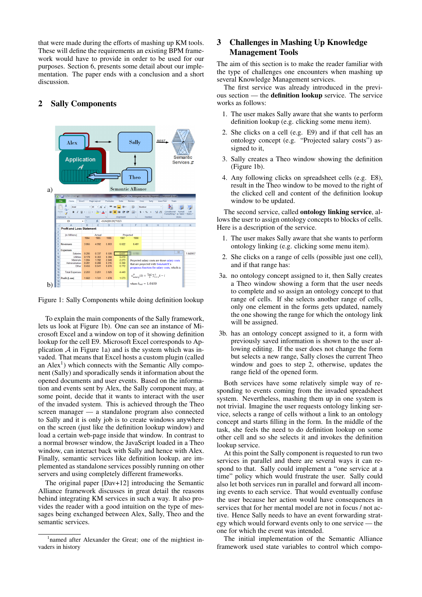that were made during the efforts of mashing up KM tools. These will define the requirements an existing BPM framework would have to provide in order to be used for our purposes. Section 6, presents some detail about our implementation. The paper ends with a conclusion and a short discussion.



# 2 Sally Components

Figure 1: Sally Components while doing definition lookup

To explain the main components of the Sally framework, lets us look at Figure 1b). One can see an instance of Microsoft Excel and a window on top of it showing definition lookup for the cell E9. Microsoft Excel corresponds to Application  $A$  in Figure 1a) and is the system which was invaded. That means that Excel hosts a custom plugin (called an  $Alex<sup>1</sup>$ ) which connects with the Semantic Ally component (Sally) and sporadically sends it information about the opened documents and user events. Based on the information and events sent by Alex, the Sally component may, at some point, decide that it wants to interact with the user of the invaded system. This is achieved through the Theo screen manager — a standalone program also connected to Sally and it is only job is to create windows anywhere on the screen (just like the definition lookup window) and load a certain web-page inside that window. In contrast to a normal browser window, the JavaScript loaded in a Theo window, can interact back with Sally and hence with Alex. Finally, semantic services like definition lookup, are implemented as standalone services possibly running on other servers and using completely different frameworks.

The original paper [Dav+12] introducing the Semantic Alliance framework discusses in great detail the reasons behind integrating KM services in such a way. It also provides the reader with a good intuition on the type of messages being exchanged between Alex, Sally, Theo and the semantic services.

# 3 Challenges in Mashing Up Knowledge Management Tools

The aim of this section is to make the reader familiar with the type of challenges one encounters when mashing up several Knowledge Management services.

The first service was already introduced in the previous section — the definition lookup service. The service works as follows:

- 1. The user makes Sally aware that she wants to perform definition lookup (e.g. clicking some menu item).
- 2. She clicks on a cell (e.g. E9) and if that cell has an ontology concept (e.g. "Projected salary costs") assigned to it,
- 3. Sally creates a Theo window showing the definition (Figure 1b).
- 4. Any following clicks on spreadsheet cells (e.g. E8), result in the Theo window to be moved to the right of the clicked cell and content of the definition lookup window to be updated.

The second service, called ontology linking service, allows the user to assign ontology concepts to blocks of cells. Here is a description of the service.

- 1. The user makes Sally aware that she wants to perform ontology linking (e.g. clicking some menu item).
- 2. She clicks on a range of cells (possible just one cell), and if that range has:
- 3a. no ontology concept assigned to it, then Sally creates a Theo window showing a form that the user needs to complete and so assign an ontology concept to that range of cells. If she selects another range of cells, only one element in the forms gets updated, namely the one showing the range for which the ontology link will be assigned.
- 3b. has an ontology concept assigned to it, a form with previously saved information is shown to the user allowing editing. If the user does not change the form but selects a new range, Sally closes the current Theo window and goes to step 2, otherwise, updates the range field of the opened form.

Both services have some relatively simple way of responding to events coming from the invaded spreadsheet system. Nevertheless, mashing them up in one system is not trivial. Imagine the user requests ontology linking service, selects a range of cells without a link to an ontology concept and starts filling in the form. In the middle of the task, she feels the need to do definition lookup on some other cell and so she selects it and invokes the definition lookup service.

At this point the Sally component is requested to run two services in parallel and there are several ways it can respond to that. Sally could implement a "one service at a time" policy which would frustrate the user. Sally could also let both services run in parallel and forward all incoming events to each service. That would eventually confuse the user because her action would have consequences in services that for her mental model are not in focus / not active. Hence Sally needs to have an event forwarding strategy which would forward events only to one service — the one for which the event was intended.

The initial implementation of the Semantic Alliance framework used state variables to control which compo-

<sup>&</sup>lt;sup>1</sup>named after Alexander the Great; one of the mightiest invaders in history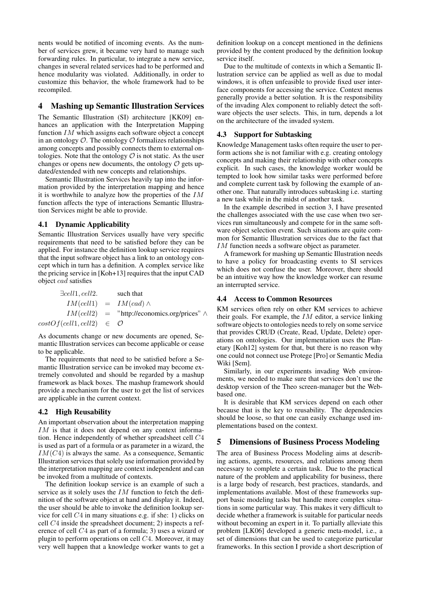nents would be notified of incoming events. As the number of services grew, it became very hard to manage such forwarding rules. In particular, to integrate a new service, changes in several related services had to be performed and hence modularity was violated. Additionally, in order to customize this behavior, the whole framework had to be recompiled.

#### 4 Mashing up Semantic Illustration Services

The Semantic Illustration (SI) architecture [KK09] enhances an application with the Interpretation Mapping function IM which assigns each software object a concept in an ontology  $\mathcal O$ . The ontology  $\mathcal O$  formalizes relationships among concepts and possibly connects them to external ontologies. Note that the ontology  $\mathcal O$  is not static. As the user changes or opens new documents, the ontology  $\mathcal O$  gets updated/extended with new concepts and relationships.

Semantic Illustration Services heavily tap into the information provided by the interpretation mapping and hence it is worthwhile to analyze how the properties of the IM function affects the type of interactions Semantic Illustration Services might be able to provide.

#### 4.1 Dynamic Applicability

Semantic Illustration Services usually have very specific requirements that need to be satisfied before they can be applied. For instance the definition lookup service requires that the input software object has a link to an ontology concept which in turn has a definition. A complex service like the pricing service in [Koh+13] requires that the input CAD object cad satisfies

| $\exists cell1, cell2.$                | such that                                            |
|----------------------------------------|------------------------------------------------------|
|                                        | $IM(cell1) = IM(cad) \wedge$                         |
|                                        | $IM(cell2)$ = "http://economics.org/prices" $\wedge$ |
| $costOf(cell1, cell2) \in \mathcal{O}$ |                                                      |

As documents change or new documents are opened, Semantic Illustration services can become applicable or cease to be applicable.

The requirements that need to be satisfied before a Semantic Illustration service can be invoked may become extremely convoluted and should be regarded by a mashup framework as black boxes. The mashup framework should provide a mechanism for the user to get the list of services are applicable in the current context.

#### 4.2 High Reusability

An important observation about the interpretation mapping IM is that it does not depend on any context information. Hence independently of whether spreadsheet cell C4 is used as part of a formula or as parameter in a wizard, the  $IM(C4)$  is always the same. As a consequence, Semantic Illustration services that solely use information provided by the interpretation mapping are context independent and can be invoked from a multitude of contexts.

The definition lookup service is an example of such a service as it solely uses the  $IM$  function to fetch the definition of the software object at hand and display it. Indeed, the user should be able to invoke the definition lookup service for cell C4 in many situations e.g. if she: 1) clicks on cell C4 inside the spreadsheet document; 2) inspects a reference of cell C4 as part of a formula; 3) uses a wizard or plugin to perform operations on cell C4. Moreover, it may very well happen that a knowledge worker wants to get a definition lookup on a concept mentioned in the definiens provided by the content produced by the definition lookup service itself.

Due to the multitude of contexts in which a Semantic Illustration service can be applied as well as due to modal windows, it is often unfeasible to provide fixed user interface components for accessing the service. Context menus generally provide a better solution. It is the responsibility of the invading Alex component to reliably detect the software objects the user selects. This, in turn, depends a lot on the architecture of the invaded system.

#### 4.3 Support for Subtasking

Knowledge Management tasks often require the user to perform actions she is not familiar with e.g. creating ontology concepts and making their relationship with other concepts explicit. In such cases, the knowledge worker would be tempted to look how similar tasks were performed before and complete current task by following the example of another one. That naturally introduces subtasking i.e. starting a new task while in the midst of another task.

In the example described in section 3, I have presented the challenges associated with the use case when two services run simultaneously and compete for in the same software object selection event. Such situations are quite common for Semantic Illustration services due to the fact that IM function needs a software object as parameter.

A framework for mashing up Semantic Illustration needs to have a policy for broadcasting events to SI services which does not confuse the user. Moreover, there should be an intuitive way how the knowledge worker can resume an interrupted service.

#### 4.4 Access to Common Resources

KM services often rely on other KM services to achieve their goals. For example, the  $IM$  editor, a service linking software objects to ontologies needs to rely on some service that provides CRUD (Create, Read, Update, Delete) operations on ontologies. Our implementation uses the Planetary [Koh12] system for that, but there is no reason why one could not connect use Protege [Pro] or Semantic Media Wiki [Sem].

Similarly, in our experiments invading Web environments, we needed to make sure that services don't use the desktop version of the Theo screen-manager but the Webbased one.

It is desirable that KM services depend on each other because that is the key to reusability. The dependencies should be loose, so that one can easily exchange used implementations based on the context.

### 5 Dimensions of Business Process Modeling

The area of Business Process Modeling aims at describing actions, agents, resources, and relations among them necessary to complete a certain task. Due to the practical nature of the problem and applicability for business, there is a large body of research, best practices, standards, and implementations available. Most of these frameworks support basic modeling tasks but handle more complex situations in some particular way. This makes it very difficult to decide whether a framework is suitable for particular needs without becoming an expert in it. To partially alleviate this problem [LK06] developed a generic meta-model, i.e., a set of dimensions that can be used to categorize particular frameworks. In this section I provide a short description of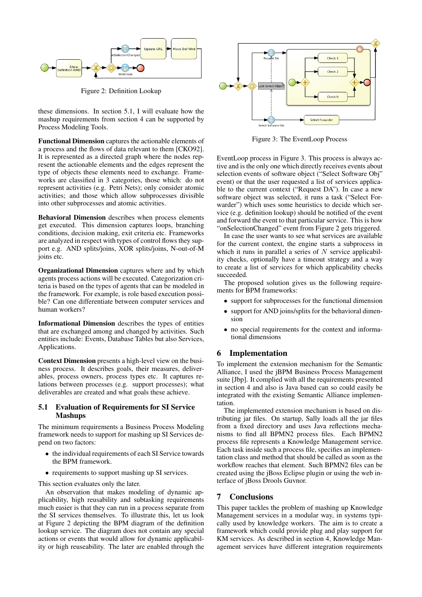

Figure 2: Definition Lookup

these dimensions. In section 5.1, I will evaluate how the mashup requirements from section 4 can be supported by Process Modeling Tools.

Functional Dimension captures the actionable elements of a process and the flows of data relevant to them [CKO92]. It is represented as a directed graph where the nodes represent the actionable elements and the edges represent the type of objects these elements need to exchange. Frameworks are classified in 3 categories, those which: do not represent activities (e.g. Petri Nets); only consider atomic activities; and those which allow subprocesses divisible into other subprocesses and atomic activities.

Behavioral Dimension describes when process elements get executed. This dimension captures loops, branching conditions, decision making, exit criteria etc. Frameworks are analyzed in respect with types of control flows they support e.g. AND splits/joins, XOR splits/joins, N-out-of-M joins etc.

Organizational Dimension captures where and by which agents process actions will be executed. Categorization criteria is based on the types of agents that can be modeled in the framework. For example, is role based execution possible? Can one differentiate between computer services and human workers?

Informational Dimension describes the types of entities that are exchanged among and changed by activities. Such entities include: Events, Database Tables but also Services, Applications.

Context Dimension presents a high-level view on the business process. It describes goals, their measures, deliverables, process owners, process types etc. It captures relations between processes (e.g. support processes); what deliverables are created and what goals these achieve.

### 5.1 Evaluation of Requirements for SI Service Mashups

The minimum requirements a Business Process Modeling framework needs to support for mashing up SI Services depend on two factors:

- the individual requirements of each SI Service towards the BPM framework.
- requirements to support mashing up SI services.

This section evaluates only the later.

An observation that makes modeling of dynamic applicability, high reusability and subtasking requirements much easier is that they can run in a process separate from the SI services themselves. To illustrate this, let us look at Figure 2 depicting the BPM diagram of the definition lookup service. The diagram does not contain any special actions or events that would allow for dynamic applicability or high reuseability. The later are enabled through the



Figure 3: The EventLoop Process

EventLoop process in Figure 3. This process is always active and is the only one which directly receives events about selection events of software object ("Select Software Obj" event) or that the user requested a list of services applicable to the current context ("Request DA"). In case a new software object was selected, it runs a task ("Select Forwarder") which uses some heuristics to decide which service (e.g. definition lookup) should be notified of the event and forward the event to that particular service. This is how "onSelectionChanged" event from Figure 2 gets triggered.

In case the user wants to see what services are available for the current context, the engine starts a subprocess in which it runs in parallel a series of  $N$  service applicability checks, optionally have a timeout strategy and a way to create a list of services for which applicability checks succeeded.

The proposed solution gives us the following requirements for BPM frameworks:

- support for subprocesses for the functional dimension
- support for AND joins/splits for the behavioral dimension
- no special requirements for the context and informational dimensions

# 6 Implementation

To implement the extension mechanism for the Semantic Alliance, I used the jBPM Business Process Management suite [Jbp]. It complied with all the requirements presented in section 4 and also is Java based can so could easily be integrated with the existing Semantic Alliance implementation.

The implemented extension mechanism is based on distributing jar files. On startup, Sally loads all the jar files from a fixed directory and uses Java reflections mechanisms to find all BPMN2 process files. Each BPMN2 process file represents a Knowledge Management service. Each task inside such a process file, specifies an implementation class and method that should be called as soon as the workflow reaches that element. Such BPMN2 files can be created using the jBoss Eclipse plugin or using the web interface of jBoss Drools Guvnor.

# 7 Conclusions

This paper tackles the problem of mashing up Knowledge Management services in a modular way, in systems typically used by knowledge workers. The aim is to create a framework which could provide plug and play support for KM services. As described in section 4, Knowledge Management services have different integration requirements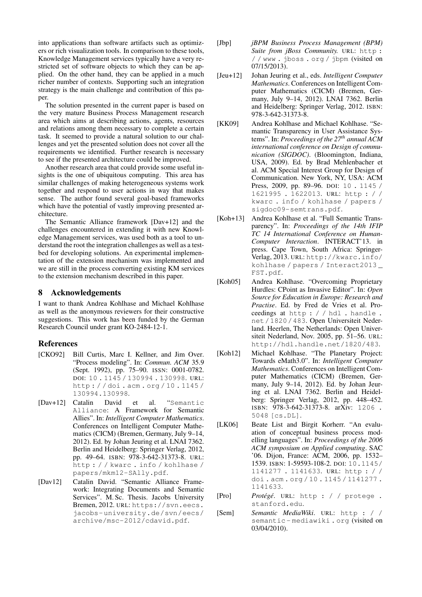into applications than software artifacts such as optimizers or rich visualization tools. In comparison to these tools, Knowledge Management services typically have a very restricted set of software objects to which they can be applied. On the other hand, they can be applied in a much richer number of contexts. Supporting such an integration strategy is the main challenge and contribution of this paper.

The solution presented in the current paper is based on the very mature Business Process Management research area which aims at describing actions, agents, resources and relations among them necessary to complete a certain task. It seemed to provide a natural solution to our challenges and yet the presented solution does not cover all the requirements we identified. Further research is necessary to see if the presented architecture could be improved.

Another research area that could provide some useful insights is the one of ubiquitous computing. This area has similar challenges of making heterogeneous systems work together and respond to user actions in way that makes sense. The author found several goal-based frameworks which have the potential of vastly improving presented architecture.

The Semantic Alliance framework [Dav+12] and the challenges encountered in extending it with new Knowledge Management services, was used both as a tool to understand the root the integration challenges as well as a testbed for developing solutions. An experimental implementation of the extension mechanism was implemented and we are still in the process converting existing KM services to the extension mechanism described in this paper.

## 8 Acknowledgements

I want to thank Andrea Kohlhase and Michael Kohlhase as well as the anonymous reviewers for their constructive suggestions. This work has been funded by the German Research Council under grant KO-2484-12-1.

### References

- [CKO92] Bill Curtis, Marc I. Kellner, and Jim Over. "Process modeling". In: *Commun. ACM* 35.9 (Sept. 1992), pp. 75–90. ISSN: 0001-0782. DOI: 10 . 1145 / 130994 . 130998. URL: http : / / doi . acm . org / 10 . 1145 / 130994.130998.
- [Dav+12] Catalin David et al. "Semantic Alliance: A Framework for Semantic Allies". In: *Intelligent Computer Mathematics*. Conferences on Intelligent Computer Mathematics (CICM) (Bremen, Germany, July 9–14, 2012). Ed. by Johan Jeuring et al. LNAI 7362. Berlin and Heidelberg: Springer Verlag, 2012, pp. 49–64. ISBN: 978-3-642-31373-8. URL: http : / / kwarc . info / kohlhase / papers/mkm12-SAlly.pdf.
- [Dav12] Catalin David. "Semantic Alliance Framework: Integrating Documents and Semantic Services". M. Sc. Thesis. Jacobs University Bremen, 2012. URL: https://svn.eecs. jacobs-university.de/svn/eecs/ archive/msc-2012/cdavid.pdf.
- [Jbp] *jBPM Business Process Management (BPM) Suite from jBoss Community.* URL: http: / / www . jboss . org / jbpm (visited on 07/15/2013).
- [Jeu+12] Johan Jeuring et al., eds. *Intelligent Computer Mathematics*. Conferences on Intelligent Computer Mathematics (CICM) (Bremen, Germany, July 9–14, 2012). LNAI 7362. Berlin and Heidelberg: Springer Verlag, 2012. ISBN: 978-3-642-31373-8.
- [KK09] Andrea Kohlhase and Michael Kohlhase. "Semantic Transparency in User Assistance Systems". In: *Proceedings of the 27th annual ACM international conference on Design of communication (SIGDOC)*. (Bloomington, Indiana, USA, 2009). Ed. by Brad Mehlenbacher et al. ACM Special Interest Group for Design of Communication. New York, NY, USA: ACM Press, 2009, pp. 89–96. DOI: 10 . 1145 / 1621995 . 1622013. URL: http : / / kwarc . info / kohlhase / papers / sigdoc09-semtrans.pdf.
- [Koh+13] Andrea Kohlhase et al. "Full Semantic Transparency". In: *Proceedings of the 14th IFIP TC 14 International Conference on Human-Computer Interaction*. INTERACT'13. in press. Cape Town, South Africa: Springer-Verlag, 2013. URL: http://kwarc.info/ kohlhase / papers / Interact2013 \_ FST.pdf.
- [Koh05] Andrea Kohlhase. "Overcoming Proprietary Hurdles: CPoint as Invasive Editor". In: *Open Source for Education in Europe: Research and Practise*. Ed. by Fred de Vries et al. Proceedings at http : / / hdl . handle . net/1820/483. Open Universiteit Nederland. Heerlen, The Netherlands: Open Universiteit Nederland, Nov. 2005, pp. 51–56. URL: http://hdl.handle.net/1820/483.
- [Koh12] Michael Kohlhase. "The Planetary Project: Towards eMath3.0". In: *Intelligent Computer Mathematics*. Conferences on Intelligent Computer Mathematics (CICM) (Bremen, Germany, July 9–14, 2012). Ed. by Johan Jeuring et al. LNAI 7362. Berlin and Heidelberg: Springer Verlag, 2012, pp. 448–452. ISBN: 978-3-642-31373-8. arXiv: 1206 . 5048 [cs.DL].
- [LK06] Beate List and Birgit Korherr. "An evaluation of conceptual business process modelling languages". In: *Proceedings of the 2006 ACM symposium on Applied computing*. SAC '06. Dijon, France: ACM, 2006, pp. 1532– 1539. ISBN: 1-59593-108-2. DOI: 10.1145/ 1141277 . 1141633. URL: http : / / doi . acm . org / 10 . 1145 / 1141277 . 1141633.
- [Pro] Protégé. URL: http : / / protege . stanford.edu.
- [Sem] *Semantic MediaWiki*. URL: http : / / semantic - mediawiki . org (visited on 03/04/2010).